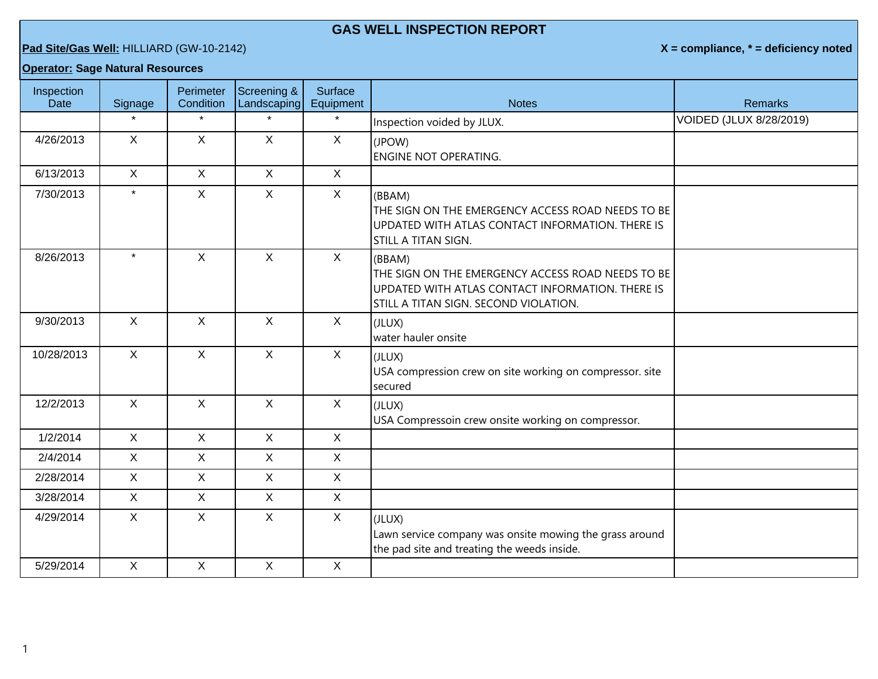## **GAS WELL INSPECTION REPORT**

**Pad Site/Gas Well:** HILLIARD (GW-10-2142) **X = compliance, \* = deficiency noted**

## **Operator: Sage Natural Resources**

| Inspection<br><b>Date</b> | Signage      | Perimeter<br>Condition | Screening &<br>Landscaping | <b>Surface</b><br>Equipment | <b>Notes</b>                                                                                                                                             | <b>Remarks</b>          |
|---------------------------|--------------|------------------------|----------------------------|-----------------------------|----------------------------------------------------------------------------------------------------------------------------------------------------------|-------------------------|
|                           |              | $\star$                | $\star$                    | $\star$                     | Inspection voided by JLUX.                                                                                                                               | VOIDED (JLUX 8/28/2019) |
| 4/26/2013                 | X            | X                      | $\mathsf{X}$               | $\mathsf{X}$                | (JPOW)<br><b>ENGINE NOT OPERATING.</b>                                                                                                                   |                         |
| 6/13/2013                 | $\mathsf{X}$ | $\mathsf{X}$           | $\mathsf{X}$               | $\mathsf{X}$                |                                                                                                                                                          |                         |
| 7/30/2013                 | $\star$      | $\mathsf{X}$           | $\mathsf{X}$               | X                           | (BBAM)<br>THE SIGN ON THE EMERGENCY ACCESS ROAD NEEDS TO BE<br>UPDATED WITH ATLAS CONTACT INFORMATION. THERE IS<br>STILL A TITAN SIGN.                   |                         |
| 8/26/2013                 | $\star$      | X                      | $\mathsf{X}$               | $\sf X$                     | (BBAM)<br>THE SIGN ON THE EMERGENCY ACCESS ROAD NEEDS TO BE<br>UPDATED WITH ATLAS CONTACT INFORMATION. THERE IS<br>STILL A TITAN SIGN. SECOND VIOLATION. |                         |
| 9/30/2013                 | $\mathsf{X}$ | $\mathsf{X}$           | $\mathsf{X}$               | $\sf X$                     | (JLUX)<br>water hauler onsite                                                                                                                            |                         |
| 10/28/2013                | $\mathsf{X}$ | $\mathsf{X}$           | $\mathsf{X}$               | $\mathsf{X}$                | (JLUX)<br>USA compression crew on site working on compressor. site<br>secured                                                                            |                         |
| 12/2/2013                 | $\mathsf{X}$ | $\mathsf{X}$           | $\mathsf{X}$               | $\mathsf{X}$                | (JLUX)<br>USA Compressoin crew onsite working on compressor.                                                                                             |                         |
| 1/2/2014                  | $\mathsf{X}$ | X                      | $\mathsf{X}$               | $\sf X$                     |                                                                                                                                                          |                         |
| 2/4/2014                  | $\mathsf{X}$ | $\mathsf{X}$           | $\mathsf{X}$               | $\mathsf{X}$                |                                                                                                                                                          |                         |
| 2/28/2014                 | $\mathsf{X}$ | $\mathsf{X}$           | $\mathsf{X}$               | $\mathsf{X}$                |                                                                                                                                                          |                         |
| 3/28/2014                 | $\mathsf{X}$ | $\mathsf{X}$           | $\mathsf{X}$               | $\mathsf{X}$                |                                                                                                                                                          |                         |
| 4/29/2014                 | $\mathsf{X}$ | $\mathsf{X}$           | $\mathsf{X}$               | $\mathsf{X}$                | (JLUX)<br>Lawn service company was onsite mowing the grass around<br>the pad site and treating the weeds inside.                                         |                         |
| 5/29/2014                 | $\mathsf{X}$ | $\mathsf{X}$           | $\mathsf{X}$               | $\mathsf{X}$                |                                                                                                                                                          |                         |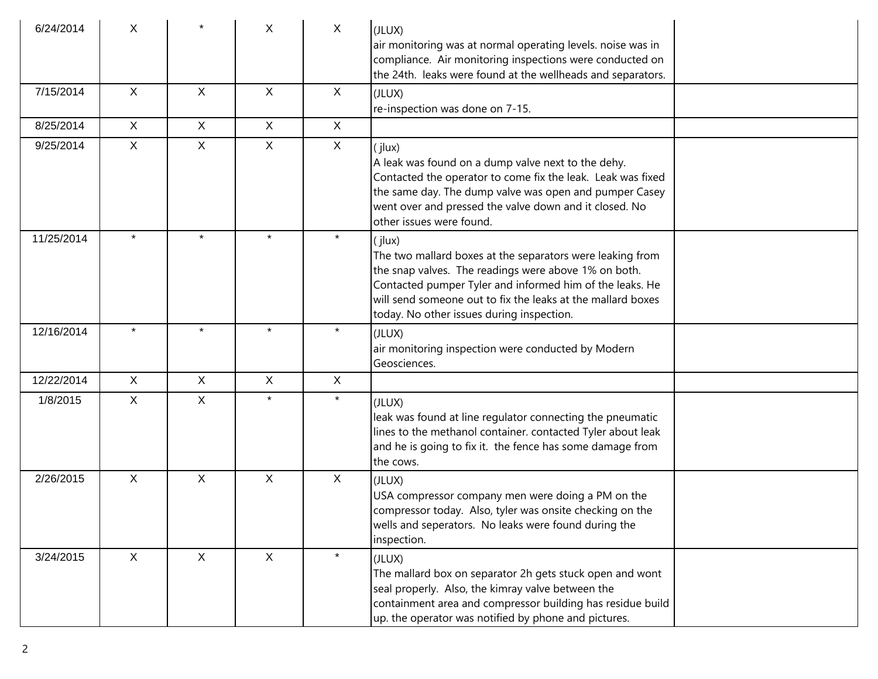| 6/24/2014  | X            |              | X            | $\mathsf{X}$ | (JLUX)<br>air monitoring was at normal operating levels. noise was in<br>compliance. Air monitoring inspections were conducted on<br>the 24th. leaks were found at the wellheads and separators.                                                                                                    |
|------------|--------------|--------------|--------------|--------------|-----------------------------------------------------------------------------------------------------------------------------------------------------------------------------------------------------------------------------------------------------------------------------------------------------|
| 7/15/2014  | $\mathsf{X}$ | $\mathsf{X}$ | $\mathsf{X}$ | $\mathsf{X}$ | (JLUX)<br>re-inspection was done on 7-15.                                                                                                                                                                                                                                                           |
| 8/25/2014  | $\mathsf{X}$ | $\mathsf{X}$ | $\mathsf{X}$ | $\mathsf{X}$ |                                                                                                                                                                                                                                                                                                     |
| 9/25/2014  | $\mathsf X$  | X            | $\mathsf{X}$ | $\mathsf{X}$ | (jlux)<br>A leak was found on a dump valve next to the dehy.<br>Contacted the operator to come fix the leak. Leak was fixed<br>the same day. The dump valve was open and pumper Casey<br>went over and pressed the valve down and it closed. No<br>other issues were found.                         |
| 11/25/2014 | $\star$      | $\star$      | $\star$      | $\star$      | (jlux)<br>The two mallard boxes at the separators were leaking from<br>the snap valves. The readings were above 1% on both.<br>Contacted pumper Tyler and informed him of the leaks. He<br>will send someone out to fix the leaks at the mallard boxes<br>today. No other issues during inspection. |
| 12/16/2014 | $\star$      | $\star$      | $\star$      | $\star$      | (JLUX)<br>air monitoring inspection were conducted by Modern<br>Geosciences.                                                                                                                                                                                                                        |
| 12/22/2014 | X            | X            | X            | $\mathsf{X}$ |                                                                                                                                                                                                                                                                                                     |
| 1/8/2015   | X            | X            | $\star$      | $\star$      | (JLUX)<br>leak was found at line regulator connecting the pneumatic<br>lines to the methanol container. contacted Tyler about leak<br>and he is going to fix it. the fence has some damage from<br>the cows.                                                                                        |
| 2/26/2015  | X            | X            | X            | X            | (JLUX)<br>USA compressor company men were doing a PM on the<br>compressor today. Also, tyler was onsite checking on the<br>wells and seperators. No leaks were found during the<br>inspection.                                                                                                      |
| 3/24/2015  | $\mathsf{X}$ | $\mathsf{X}$ | $\mathsf{X}$ | $\star$      | (JLUX)<br>The mallard box on separator 2h gets stuck open and wont<br>seal properly. Also, the kimray valve between the<br>containment area and compressor building has residue build<br>up. the operator was notified by phone and pictures.                                                       |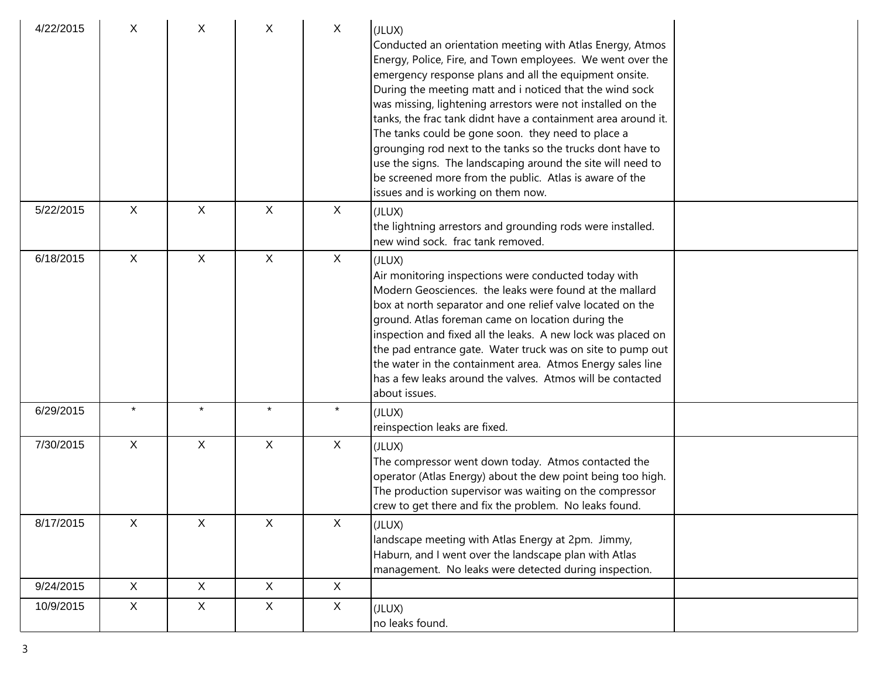| 4/22/2015 | X            | X            | X            | $\mathsf{X}$ | (JLUX)<br>Conducted an orientation meeting with Atlas Energy, Atmos<br>Energy, Police, Fire, and Town employees. We went over the<br>emergency response plans and all the equipment onsite.<br>During the meeting matt and i noticed that the wind sock<br>was missing, lightening arrestors were not installed on the<br>tanks, the frac tank didnt have a containment area around it.<br>The tanks could be gone soon. they need to place a<br>grounging rod next to the tanks so the trucks dont have to<br>use the signs. The landscaping around the site will need to<br>be screened more from the public. Atlas is aware of the<br>issues and is working on them now. |  |
|-----------|--------------|--------------|--------------|--------------|-----------------------------------------------------------------------------------------------------------------------------------------------------------------------------------------------------------------------------------------------------------------------------------------------------------------------------------------------------------------------------------------------------------------------------------------------------------------------------------------------------------------------------------------------------------------------------------------------------------------------------------------------------------------------------|--|
| 5/22/2015 | $\sf X$      | $\mathsf{X}$ | $\mathsf{X}$ | $\mathsf{X}$ | (JLUX)<br>the lightning arrestors and grounding rods were installed.<br>new wind sock. frac tank removed.                                                                                                                                                                                                                                                                                                                                                                                                                                                                                                                                                                   |  |
| 6/18/2015 | $\mathsf{X}$ | X            | $\mathsf{X}$ | $\mathsf{X}$ | (JLUX)<br>Air monitoring inspections were conducted today with<br>Modern Geosciences. the leaks were found at the mallard<br>box at north separator and one relief valve located on the<br>ground. Atlas foreman came on location during the<br>inspection and fixed all the leaks. A new lock was placed on<br>the pad entrance gate. Water truck was on site to pump out<br>the water in the containment area. Atmos Energy sales line<br>has a few leaks around the valves. Atmos will be contacted<br>about issues.                                                                                                                                                     |  |
| 6/29/2015 | $\star$      | $\star$      | $\star$      | $\star$      | (JLUX)<br>reinspection leaks are fixed.                                                                                                                                                                                                                                                                                                                                                                                                                                                                                                                                                                                                                                     |  |
| 7/30/2015 | $\mathsf{X}$ | $\mathsf{X}$ | $\mathsf X$  | $\mathsf{X}$ | (JLUX)<br>The compressor went down today. Atmos contacted the<br>operator (Atlas Energy) about the dew point being too high.<br>The production supervisor was waiting on the compressor<br>crew to get there and fix the problem. No leaks found.                                                                                                                                                                                                                                                                                                                                                                                                                           |  |
| 8/17/2015 | X            | X            | $\mathsf{X}$ | X            | (JLUX)<br>landscape meeting with Atlas Energy at 2pm. Jimmy,<br>Haburn, and I went over the landscape plan with Atlas<br>management. No leaks were detected during inspection.                                                                                                                                                                                                                                                                                                                                                                                                                                                                                              |  |
| 9/24/2015 | $\mathsf{X}$ | X            | $\mathsf{X}$ | $\mathsf{X}$ |                                                                                                                                                                                                                                                                                                                                                                                                                                                                                                                                                                                                                                                                             |  |
| 10/9/2015 | X            | $\mathsf{X}$ | X            | X            | (JLUX)<br>no leaks found.                                                                                                                                                                                                                                                                                                                                                                                                                                                                                                                                                                                                                                                   |  |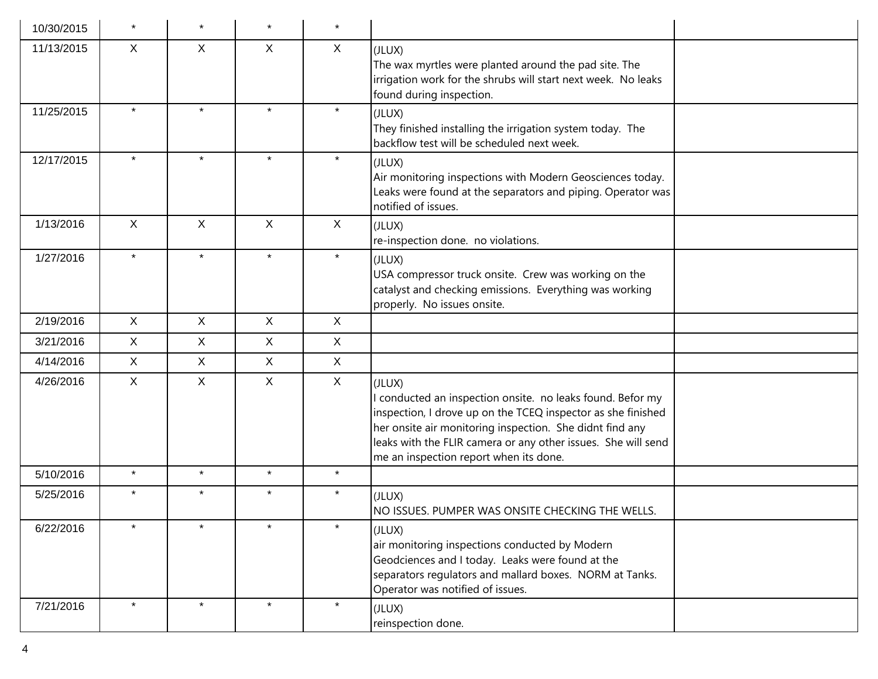| 10/30/2015 | $\star$      |              |              | $\star$      |                                                                                                                                                                                                                                                                                                             |  |
|------------|--------------|--------------|--------------|--------------|-------------------------------------------------------------------------------------------------------------------------------------------------------------------------------------------------------------------------------------------------------------------------------------------------------------|--|
| 11/13/2015 | X            | X            | X            | $\sf X$      | (JLUX)<br>The wax myrtles were planted around the pad site. The<br>irrigation work for the shrubs will start next week. No leaks<br>found during inspection.                                                                                                                                                |  |
| 11/25/2015 | $\star$      | $\star$      | $\star$      | $\star$      | (JLUX)<br>They finished installing the irrigation system today. The<br>backflow test will be scheduled next week.                                                                                                                                                                                           |  |
| 12/17/2015 | $\star$      | $\star$      | $\star$      | $\star$      | (JLUX)<br>Air monitoring inspections with Modern Geosciences today.<br>Leaks were found at the separators and piping. Operator was<br>notified of issues.                                                                                                                                                   |  |
| 1/13/2016  | $\mathsf{X}$ | $\mathsf{X}$ | $\mathsf{X}$ | $\sf X$      | (JLUX)<br>re-inspection done. no violations.                                                                                                                                                                                                                                                                |  |
| 1/27/2016  | $\star$      | $\star$      | $\star$      | $\star$      | (JLUX)<br>USA compressor truck onsite. Crew was working on the<br>catalyst and checking emissions. Everything was working<br>properly. No issues onsite.                                                                                                                                                    |  |
| 2/19/2016  | $\mathsf{X}$ | X            | $\mathsf{X}$ | $\sf X$      |                                                                                                                                                                                                                                                                                                             |  |
| 3/21/2016  | X            | X            | $\mathsf{X}$ | $\mathsf{X}$ |                                                                                                                                                                                                                                                                                                             |  |
| 4/14/2016  | $\mathsf{X}$ | $\mathsf{X}$ | $\mathsf{X}$ | $\mathsf{X}$ |                                                                                                                                                                                                                                                                                                             |  |
| 4/26/2016  | X            | $\mathsf{X}$ | $\mathsf{X}$ | $\mathsf{X}$ | (JLUX)<br>I conducted an inspection onsite. no leaks found. Befor my<br>inspection, I drove up on the TCEQ inspector as she finished<br>her onsite air monitoring inspection. She didnt find any<br>leaks with the FLIR camera or any other issues. She will send<br>me an inspection report when its done. |  |
| 5/10/2016  | $\star$      | $\star$      | $\star$      | $\star$      |                                                                                                                                                                                                                                                                                                             |  |
| 5/25/2016  | $\star$      | $\star$      | $\star$      | $\star$      | (JLUX)<br>NO ISSUES. PUMPER WAS ONSITE CHECKING THE WELLS.                                                                                                                                                                                                                                                  |  |
| 6/22/2016  | $\star$      | $\star$      |              | $\star$      | (JLUX)<br>air monitoring inspections conducted by Modern<br>Geodciences and I today. Leaks were found at the<br>separators regulators and mallard boxes. NORM at Tanks.<br>Operator was notified of issues.                                                                                                 |  |
| 7/21/2016  | $\star$      | $\star$      | $\star$      | $\star$      | (JLUX)<br>reinspection done.                                                                                                                                                                                                                                                                                |  |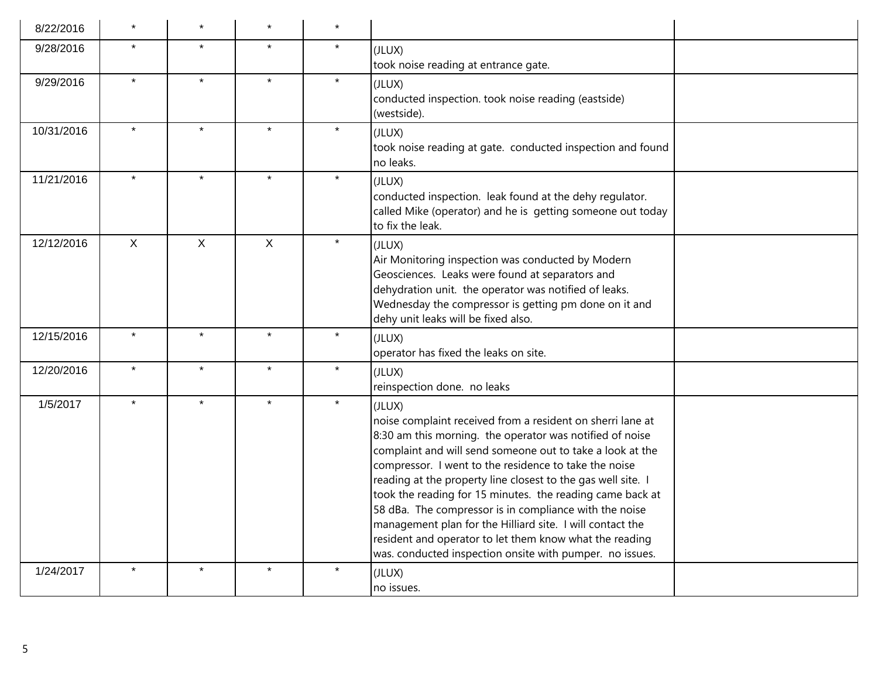| 8/22/2016  |              |              |              | $\star$ |                                                                                                                                                                                                                                                                                                                                                                                                                                                                                                                                                                                                                                   |  |
|------------|--------------|--------------|--------------|---------|-----------------------------------------------------------------------------------------------------------------------------------------------------------------------------------------------------------------------------------------------------------------------------------------------------------------------------------------------------------------------------------------------------------------------------------------------------------------------------------------------------------------------------------------------------------------------------------------------------------------------------------|--|
| 9/28/2016  | $\star$      |              | $\star$      | $\star$ | (JLUX)<br>took noise reading at entrance gate.                                                                                                                                                                                                                                                                                                                                                                                                                                                                                                                                                                                    |  |
| 9/29/2016  | $\star$      | $\star$      | $\star$      | $\star$ | (JLUX)<br>conducted inspection. took noise reading (eastside)<br>(westside).                                                                                                                                                                                                                                                                                                                                                                                                                                                                                                                                                      |  |
| 10/31/2016 |              | $\star$      |              | $\star$ | (JLUX)<br>took noise reading at gate. conducted inspection and found<br>no leaks.                                                                                                                                                                                                                                                                                                                                                                                                                                                                                                                                                 |  |
| 11/21/2016 | $\star$      | $\star$      | $\star$      | $\star$ | (JLUX)<br>conducted inspection. leak found at the dehy regulator.<br>called Mike (operator) and he is getting someone out today<br>to fix the leak.                                                                                                                                                                                                                                                                                                                                                                                                                                                                               |  |
| 12/12/2016 | $\mathsf{X}$ | $\mathsf{X}$ | $\mathsf{X}$ | $\star$ | (JLUX)<br>Air Monitoring inspection was conducted by Modern<br>Geosciences. Leaks were found at separators and<br>dehydration unit. the operator was notified of leaks.<br>Wednesday the compressor is getting pm done on it and<br>dehy unit leaks will be fixed also.                                                                                                                                                                                                                                                                                                                                                           |  |
| 12/15/2016 | $\star$      | $\star$      | $\star$      | $\star$ | (JLUX)<br>operator has fixed the leaks on site.                                                                                                                                                                                                                                                                                                                                                                                                                                                                                                                                                                                   |  |
| 12/20/2016 | $\star$      | $\star$      | $\star$      | $\star$ | (JLUX)<br>reinspection done. no leaks                                                                                                                                                                                                                                                                                                                                                                                                                                                                                                                                                                                             |  |
| 1/5/2017   | $\star$      | $\star$      | $\star$      | $\star$ | (JLUX)<br>noise complaint received from a resident on sherri lane at<br>8:30 am this morning. the operator was notified of noise<br>complaint and will send someone out to take a look at the<br>compressor. I went to the residence to take the noise<br>reading at the property line closest to the gas well site. I<br>took the reading for 15 minutes. the reading came back at<br>58 dBa. The compressor is in compliance with the noise<br>management plan for the Hilliard site. I will contact the<br>resident and operator to let them know what the reading<br>was. conducted inspection onsite with pumper. no issues. |  |
| 1/24/2017  | $\star$      | $\star$      | $\star$      | $\star$ | (JLUX)<br>no issues.                                                                                                                                                                                                                                                                                                                                                                                                                                                                                                                                                                                                              |  |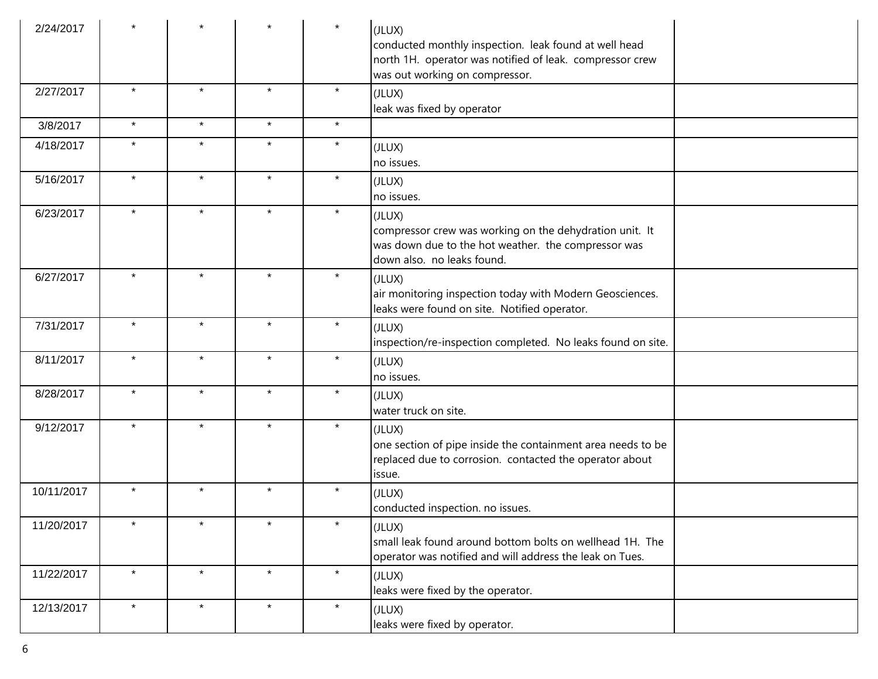| 2/24/2017  |         |         |         | $\star$ | (JLUX)<br>conducted monthly inspection. leak found at well head<br>north 1H. operator was notified of leak. compressor crew<br>was out working on compressor. |
|------------|---------|---------|---------|---------|---------------------------------------------------------------------------------------------------------------------------------------------------------------|
| 2/27/2017  | $\star$ | $\star$ | $\star$ | $\star$ | (JLUX)<br>leak was fixed by operator                                                                                                                          |
| 3/8/2017   | $\star$ | $\star$ | $\star$ | $\star$ |                                                                                                                                                               |
| 4/18/2017  | $\star$ | $\star$ | $\star$ | $\star$ | (JLUX)<br>no issues.                                                                                                                                          |
| 5/16/2017  | $\star$ | $\star$ | $\star$ | $\star$ | (JLUX)<br>no issues.                                                                                                                                          |
| 6/23/2017  | $\star$ | $\star$ | $\star$ | $\star$ | (JLUX)<br>compressor crew was working on the dehydration unit. It<br>was down due to the hot weather. the compressor was<br>down also. no leaks found.        |
| 6/27/2017  | $\star$ | $\star$ | $\star$ | $\star$ | (JLUX)<br>air monitoring inspection today with Modern Geosciences.<br>leaks were found on site. Notified operator.                                            |
| 7/31/2017  | $\star$ | $\star$ | $\star$ | $\star$ | (JLUX)<br>inspection/re-inspection completed. No leaks found on site.                                                                                         |
| 8/11/2017  | $\star$ | $\star$ | $\star$ | $\star$ | (JLUX)<br>no issues.                                                                                                                                          |
| 8/28/2017  | $\star$ | $\star$ | $\star$ | $\star$ | (JLUX)<br>water truck on site.                                                                                                                                |
| 9/12/2017  | $\star$ | $\star$ | $\star$ | $\star$ | (JLUX)<br>one section of pipe inside the containment area needs to be<br>replaced due to corrosion. contacted the operator about<br>issue.                    |
| 10/11/2017 | $\star$ | $\star$ | $\star$ | $\star$ | (JLUX)<br>conducted inspection. no issues.                                                                                                                    |
| 11/20/2017 | $\star$ | $\star$ | $\star$ | $\star$ | (JLUX)<br>small leak found around bottom bolts on wellhead 1H. The<br>operator was notified and will address the leak on Tues.                                |
| 11/22/2017 | $\star$ | $\star$ | $\star$ | $\star$ | (JLUX)<br>leaks were fixed by the operator.                                                                                                                   |
| 12/13/2017 | $\star$ | $\star$ | $\star$ | $\star$ | (JLUX)<br>leaks were fixed by operator.                                                                                                                       |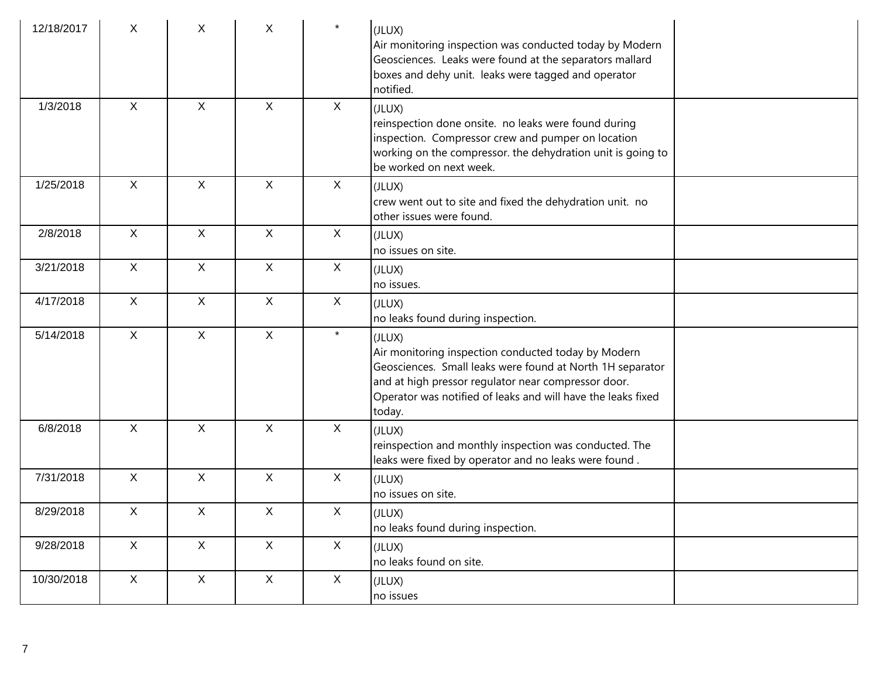| 12/18/2017 | X            | X            | X            | $\star$      | (JLUX)<br>Air monitoring inspection was conducted today by Modern<br>Geosciences. Leaks were found at the separators mallard<br>boxes and dehy unit. leaks were tagged and operator<br>notified.                                                            |
|------------|--------------|--------------|--------------|--------------|-------------------------------------------------------------------------------------------------------------------------------------------------------------------------------------------------------------------------------------------------------------|
| 1/3/2018   | $\mathsf{X}$ | $\mathsf{X}$ | $\mathsf{X}$ | X            | (JLUX)<br>reinspection done onsite. no leaks were found during<br>inspection. Compressor crew and pumper on location<br>working on the compressor. the dehydration unit is going to<br>be worked on next week.                                              |
| 1/25/2018  | $\mathsf{X}$ | $\mathsf{X}$ | $\mathsf{X}$ | $\mathsf{X}$ | (JLUX)<br>crew went out to site and fixed the dehydration unit. no<br>other issues were found.                                                                                                                                                              |
| 2/8/2018   | $\mathsf{X}$ | $\mathsf{X}$ | $\mathsf{X}$ | $\mathsf{X}$ | (JLUX)<br>no issues on site.                                                                                                                                                                                                                                |
| 3/21/2018  | $\mathsf{X}$ | $\mathsf{X}$ | $\mathsf{X}$ | X            | (JLUX)<br>no issues.                                                                                                                                                                                                                                        |
| 4/17/2018  | $\mathsf{X}$ | $\mathsf{X}$ | $\mathsf{X}$ | $\mathsf{X}$ | (JLUX)<br>no leaks found during inspection.                                                                                                                                                                                                                 |
| 5/14/2018  | $\mathsf{X}$ | $\mathsf{X}$ | $\mathsf{X}$ | $\star$      | (JLUX)<br>Air monitoring inspection conducted today by Modern<br>Geosciences. Small leaks were found at North 1H separator<br>and at high pressor regulator near compressor door.<br>Operator was notified of leaks and will have the leaks fixed<br>today. |
| 6/8/2018   | $\mathsf{X}$ | $\mathsf{X}$ | $\mathsf{X}$ | $\mathsf{X}$ | (JLUX)<br>reinspection and monthly inspection was conducted. The<br>leaks were fixed by operator and no leaks were found.                                                                                                                                   |
| 7/31/2018  | $\mathsf X$  | $\mathsf{X}$ | $\mathsf{X}$ | $\mathsf{X}$ | (JLUX)<br>no issues on site.                                                                                                                                                                                                                                |
| 8/29/2018  | X            | X            | X            | X            | (JLUX)<br>no leaks found during inspection.                                                                                                                                                                                                                 |
| 9/28/2018  | $\mathsf{X}$ | $\mathsf X$  | $\mathsf X$  | X            | (JLUX)<br>no leaks found on site.                                                                                                                                                                                                                           |
| 10/30/2018 | $\mathsf{X}$ | $\mathsf X$  | X            | X            | (JLUX)<br>no issues                                                                                                                                                                                                                                         |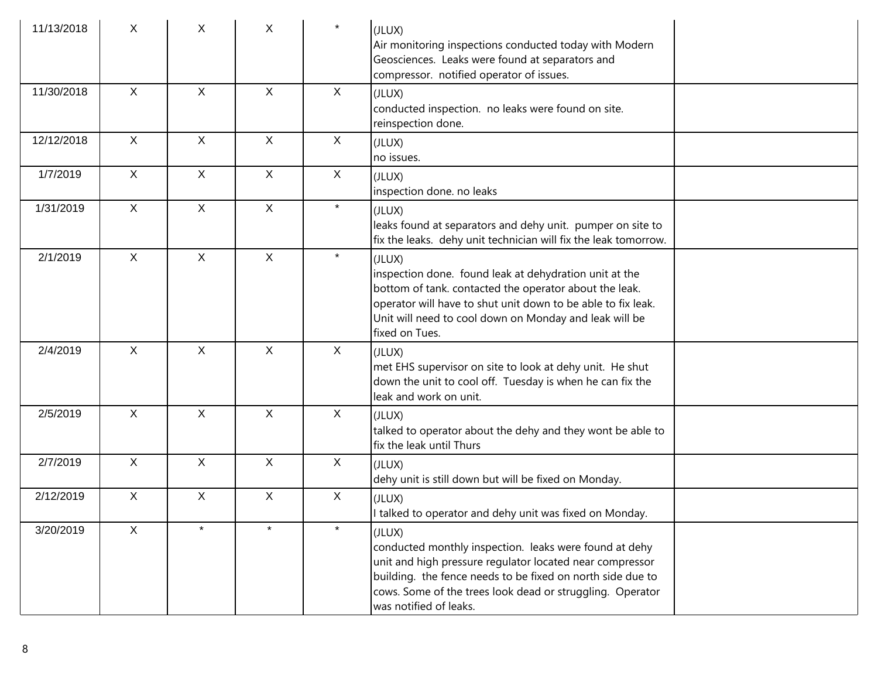| 11/13/2018 | X            | X            | X            | $\star$      | (JLUX)<br>Air monitoring inspections conducted today with Modern<br>Geosciences. Leaks were found at separators and<br>compressor. notified operator of issues.                                                                                                                   |  |
|------------|--------------|--------------|--------------|--------------|-----------------------------------------------------------------------------------------------------------------------------------------------------------------------------------------------------------------------------------------------------------------------------------|--|
| 11/30/2018 | $\mathsf{X}$ | $\mathsf{X}$ | $\mathsf{X}$ | X            | (JLUX)<br>conducted inspection. no leaks were found on site.<br>reinspection done.                                                                                                                                                                                                |  |
| 12/12/2018 | X            | $\mathsf{X}$ | $\mathsf{X}$ | $\mathsf{X}$ | (JLUX)<br>no issues.                                                                                                                                                                                                                                                              |  |
| 1/7/2019   | $\mathsf{X}$ | $\mathsf{X}$ | $\mathsf{X}$ | $\mathsf{X}$ | (JLUX)<br>inspection done. no leaks                                                                                                                                                                                                                                               |  |
| 1/31/2019  | $\mathsf{X}$ | $\mathsf{X}$ | $\mathsf{X}$ | $\star$      | (JLUX)<br>leaks found at separators and dehy unit. pumper on site to<br>fix the leaks. dehy unit technician will fix the leak tomorrow.                                                                                                                                           |  |
| 2/1/2019   | X            | $\mathsf{X}$ | $\mathsf{X}$ | $\star$      | (JLUX)<br>inspection done. found leak at dehydration unit at the<br>bottom of tank. contacted the operator about the leak.<br>operator will have to shut unit down to be able to fix leak.<br>Unit will need to cool down on Monday and leak will be<br>fixed on Tues.            |  |
| 2/4/2019   | $\mathsf{X}$ | $\mathsf{X}$ | $\mathsf{X}$ | $\mathsf{X}$ | (JLUX)<br>met EHS supervisor on site to look at dehy unit. He shut<br>down the unit to cool off. Tuesday is when he can fix the<br>leak and work on unit.                                                                                                                         |  |
| 2/5/2019   | X            | X            | $\mathsf{X}$ | $\mathsf{X}$ | (JLUX)<br>talked to operator about the dehy and they wont be able to<br>fix the leak until Thurs                                                                                                                                                                                  |  |
| 2/7/2019   | $\mathsf{X}$ | $\mathsf{X}$ | $\mathsf X$  | $\mathsf{X}$ | (JLUX)<br>dehy unit is still down but will be fixed on Monday.                                                                                                                                                                                                                    |  |
| 2/12/2019  | X            | $\mathsf{X}$ | $\mathsf{X}$ | $\mathsf{X}$ | (JLUX)<br>I talked to operator and dehy unit was fixed on Monday.                                                                                                                                                                                                                 |  |
| 3/20/2019  | X            |              |              | $\star$      | (JLUX)<br>conducted monthly inspection. leaks were found at dehy<br>unit and high pressure regulator located near compressor<br>building. the fence needs to be fixed on north side due to<br>cows. Some of the trees look dead or struggling. Operator<br>was notified of leaks. |  |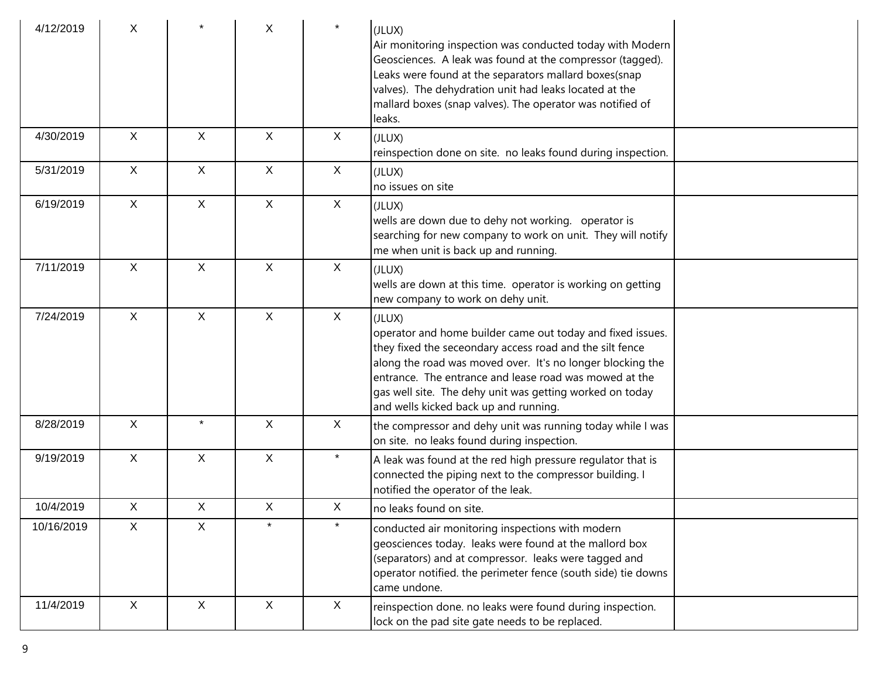| 4/12/2019  | Χ            |                | X            | $\star$      | (JLUX)<br>Air monitoring inspection was conducted today with Modern<br>Geosciences. A leak was found at the compressor (tagged).<br>Leaks were found at the separators mallard boxes(snap<br>valves). The dehydration unit had leaks located at the<br>mallard boxes (snap valves). The operator was notified of<br>leaks.                                    |  |
|------------|--------------|----------------|--------------|--------------|---------------------------------------------------------------------------------------------------------------------------------------------------------------------------------------------------------------------------------------------------------------------------------------------------------------------------------------------------------------|--|
| 4/30/2019  | $\mathsf{X}$ | $\mathsf{X}$   | $\mathsf{X}$ | X            | (JLUX)<br>reinspection done on site. no leaks found during inspection.                                                                                                                                                                                                                                                                                        |  |
| 5/31/2019  | $\mathsf{X}$ | $\pmb{\times}$ | $\mathsf{X}$ | $\mathsf{X}$ | (JLUX)<br>no issues on site                                                                                                                                                                                                                                                                                                                                   |  |
| 6/19/2019  | $\mathsf{X}$ | $\mathsf{X}$   | $\mathsf{X}$ | X            | (JLUX)<br>wells are down due to dehy not working. operator is<br>searching for new company to work on unit. They will notify<br>me when unit is back up and running.                                                                                                                                                                                          |  |
| 7/11/2019  | $\mathsf{X}$ | X              | X            | X            | (JLUX)<br>wells are down at this time. operator is working on getting<br>new company to work on dehy unit.                                                                                                                                                                                                                                                    |  |
| 7/24/2019  | $\mathsf{X}$ | X              | X            | $\mathsf{X}$ | (JLUX)<br>operator and home builder came out today and fixed issues.<br>they fixed the seceondary access road and the silt fence<br>along the road was moved over. It's no longer blocking the<br>entrance. The entrance and lease road was mowed at the<br>gas well site. The dehy unit was getting worked on today<br>and wells kicked back up and running. |  |
| 8/28/2019  | $\mathsf{X}$ | $\star$        | $\mathsf{X}$ | X            | the compressor and dehy unit was running today while I was<br>on site. no leaks found during inspection.                                                                                                                                                                                                                                                      |  |
| 9/19/2019  | $\mathsf{X}$ | X              | $\mathsf{X}$ | $\star$      | A leak was found at the red high pressure regulator that is<br>connected the piping next to the compressor building. I<br>notified the operator of the leak.                                                                                                                                                                                                  |  |
| 10/4/2019  | $\mathsf{X}$ | X              | X.           | X            | no leaks found on site.                                                                                                                                                                                                                                                                                                                                       |  |
| 10/16/2019 | X            | X              | $\star$      | $\star$      | conducted air monitoring inspections with modern<br>geosciences today. leaks were found at the mallord box<br>(separators) and at compressor. leaks were tagged and<br>operator notified. the perimeter fence (south side) tie downs<br>came undone.                                                                                                          |  |
| 11/4/2019  | $\mathsf{X}$ | $\mathsf{X}$   | $\mathsf{X}$ | $\mathsf{X}$ | reinspection done. no leaks were found during inspection.<br>lock on the pad site gate needs to be replaced.                                                                                                                                                                                                                                                  |  |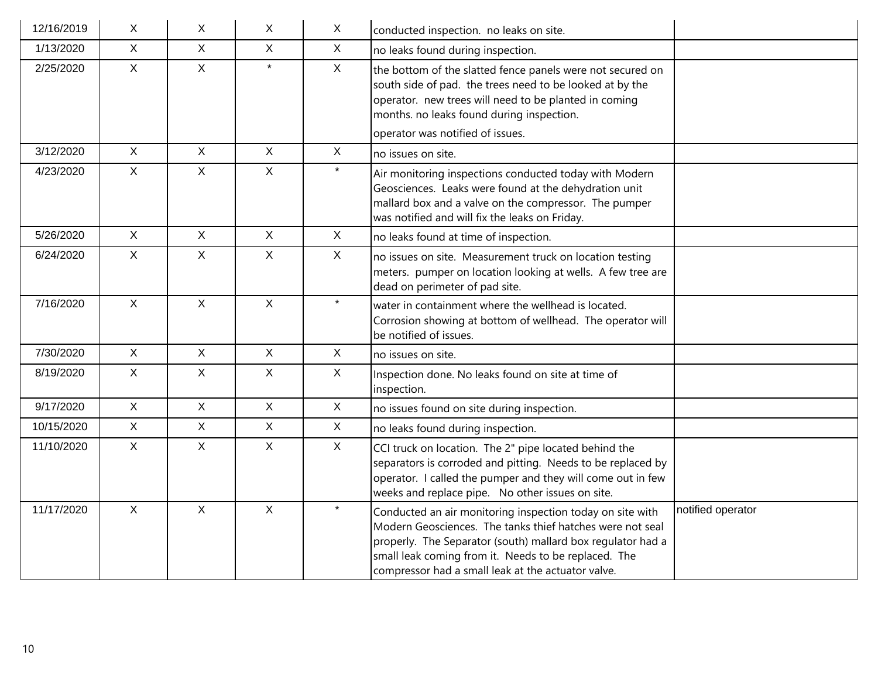| 12/16/2019 | X            | X.           | X            | $\mathsf X$  | conducted inspection. no leaks on site.                                                                                                                                                                                                                                                             |                   |
|------------|--------------|--------------|--------------|--------------|-----------------------------------------------------------------------------------------------------------------------------------------------------------------------------------------------------------------------------------------------------------------------------------------------------|-------------------|
| 1/13/2020  | $\mathsf{X}$ | $\mathsf{X}$ | $\mathsf{X}$ | $\mathsf{X}$ | no leaks found during inspection.                                                                                                                                                                                                                                                                   |                   |
| 2/25/2020  | $\mathsf{X}$ | $\mathsf{X}$ | $\star$      | X            | the bottom of the slatted fence panels were not secured on<br>south side of pad. the trees need to be looked at by the<br>operator. new trees will need to be planted in coming<br>months. no leaks found during inspection.<br>operator was notified of issues.                                    |                   |
| 3/12/2020  | $\mathsf{X}$ | $\mathsf{X}$ | $\mathsf{X}$ | $\mathsf{X}$ | no issues on site.                                                                                                                                                                                                                                                                                  |                   |
| 4/23/2020  | $\mathsf{X}$ | $\mathsf{X}$ | $\mathsf{X}$ | $\star$      | Air monitoring inspections conducted today with Modern<br>Geosciences. Leaks were found at the dehydration unit<br>mallard box and a valve on the compressor. The pumper<br>was notified and will fix the leaks on Friday.                                                                          |                   |
| 5/26/2020  | $\mathsf{X}$ | $\mathsf{X}$ | $\mathsf{X}$ | $\mathsf{X}$ | no leaks found at time of inspection.                                                                                                                                                                                                                                                               |                   |
| 6/24/2020  | $\mathsf{X}$ | $\mathsf{X}$ | $\mathsf{X}$ | $\mathsf{X}$ | no issues on site. Measurement truck on location testing<br>meters. pumper on location looking at wells. A few tree are<br>dead on perimeter of pad site.                                                                                                                                           |                   |
| 7/16/2020  | $\mathsf{X}$ | $\mathsf{X}$ | $\mathsf{X}$ | $\star$      | water in containment where the wellhead is located.<br>Corrosion showing at bottom of wellhead. The operator will<br>be notified of issues.                                                                                                                                                         |                   |
| 7/30/2020  | $\mathsf{X}$ | $\mathsf{X}$ | $\mathsf{X}$ | $\mathsf{X}$ | no issues on site.                                                                                                                                                                                                                                                                                  |                   |
| 8/19/2020  | $\mathsf{X}$ | X            | $\mathsf{X}$ | $\mathsf{X}$ | Inspection done. No leaks found on site at time of<br>inspection.                                                                                                                                                                                                                                   |                   |
| 9/17/2020  | $\mathsf{X}$ | $\mathsf{X}$ | $\mathsf{X}$ | $\mathsf X$  | no issues found on site during inspection.                                                                                                                                                                                                                                                          |                   |
| 10/15/2020 | $\mathsf{X}$ | $\mathsf{X}$ | $\mathsf{X}$ | $\mathsf{X}$ | no leaks found during inspection.                                                                                                                                                                                                                                                                   |                   |
| 11/10/2020 | $\mathsf{X}$ | $\mathsf{X}$ | $\mathsf{X}$ | $\mathsf{X}$ | CCI truck on location. The 2" pipe located behind the<br>separators is corroded and pitting. Needs to be replaced by<br>operator. I called the pumper and they will come out in few<br>weeks and replace pipe. No other issues on site.                                                             |                   |
| 11/17/2020 | $\mathsf{X}$ | $\mathsf{X}$ | $\mathsf{X}$ | $\star$      | Conducted an air monitoring inspection today on site with<br>Modern Geosciences. The tanks thief hatches were not seal<br>properly. The Separator (south) mallard box regulator had a<br>small leak coming from it. Needs to be replaced. The<br>compressor had a small leak at the actuator valve. | notified operator |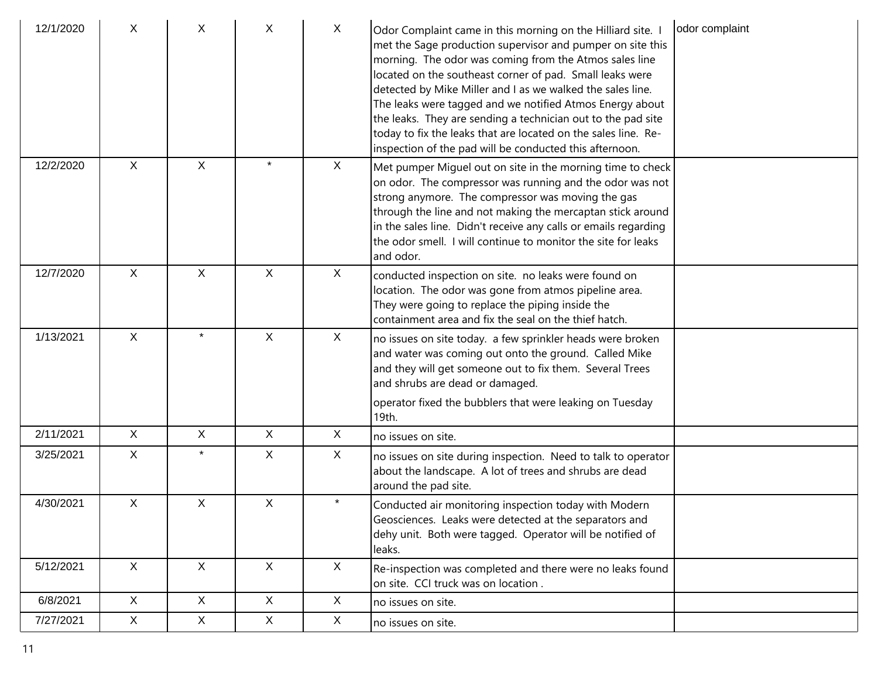| 12/1/2020 | X            | X            | X            | X       | Odor Complaint came in this morning on the Hilliard site. I<br>met the Sage production supervisor and pumper on site this<br>morning. The odor was coming from the Atmos sales line<br>located on the southeast corner of pad. Small leaks were<br>detected by Mike Miller and I as we walked the sales line.<br>The leaks were tagged and we notified Atmos Energy about<br>the leaks. They are sending a technician out to the pad site<br>today to fix the leaks that are located on the sales line. Re-<br>inspection of the pad will be conducted this afternoon. | odor complaint |
|-----------|--------------|--------------|--------------|---------|------------------------------------------------------------------------------------------------------------------------------------------------------------------------------------------------------------------------------------------------------------------------------------------------------------------------------------------------------------------------------------------------------------------------------------------------------------------------------------------------------------------------------------------------------------------------|----------------|
| 12/2/2020 | $\mathsf{X}$ | X            | $\star$      | X       | Met pumper Miguel out on site in the morning time to check<br>on odor. The compressor was running and the odor was not<br>strong anymore. The compressor was moving the gas<br>through the line and not making the mercaptan stick around<br>in the sales line. Didn't receive any calls or emails regarding<br>the odor smell. I will continue to monitor the site for leaks<br>and odor.                                                                                                                                                                             |                |
| 12/7/2020 | X            | $\mathsf{X}$ | X            | X       | conducted inspection on site. no leaks were found on<br>location. The odor was gone from atmos pipeline area.<br>They were going to replace the piping inside the<br>containment area and fix the seal on the thief hatch.                                                                                                                                                                                                                                                                                                                                             |                |
| 1/13/2021 | $\mathsf{X}$ | $\star$      | $\mathsf{X}$ | X       | no issues on site today. a few sprinkler heads were broken<br>and water was coming out onto the ground. Called Mike<br>and they will get someone out to fix them. Several Trees<br>and shrubs are dead or damaged.<br>operator fixed the bubblers that were leaking on Tuesday<br>19th.                                                                                                                                                                                                                                                                                |                |
| 2/11/2021 | X            | X            | X            | X       | no issues on site.                                                                                                                                                                                                                                                                                                                                                                                                                                                                                                                                                     |                |
| 3/25/2021 | X            |              | X.           | X       | no issues on site during inspection. Need to talk to operator<br>about the landscape. A lot of trees and shrubs are dead<br>around the pad site.                                                                                                                                                                                                                                                                                                                                                                                                                       |                |
| 4/30/2021 | $\mathsf{X}$ | X            | X            | $\star$ | Conducted air monitoring inspection today with Modern<br>Geosciences. Leaks were detected at the separators and<br>dehy unit. Both were tagged. Operator will be notified of<br>leaks.                                                                                                                                                                                                                                                                                                                                                                                 |                |
| 5/12/2021 | X            | X            | $\mathsf{X}$ | X       | Re-inspection was completed and there were no leaks found<br>on site. CCI truck was on location.                                                                                                                                                                                                                                                                                                                                                                                                                                                                       |                |
| 6/8/2021  | X            | $\mathsf{X}$ | X            | X       | no issues on site.                                                                                                                                                                                                                                                                                                                                                                                                                                                                                                                                                     |                |
| 7/27/2021 | $\mathsf{X}$ | X            | X            | X       | no issues on site.                                                                                                                                                                                                                                                                                                                                                                                                                                                                                                                                                     |                |